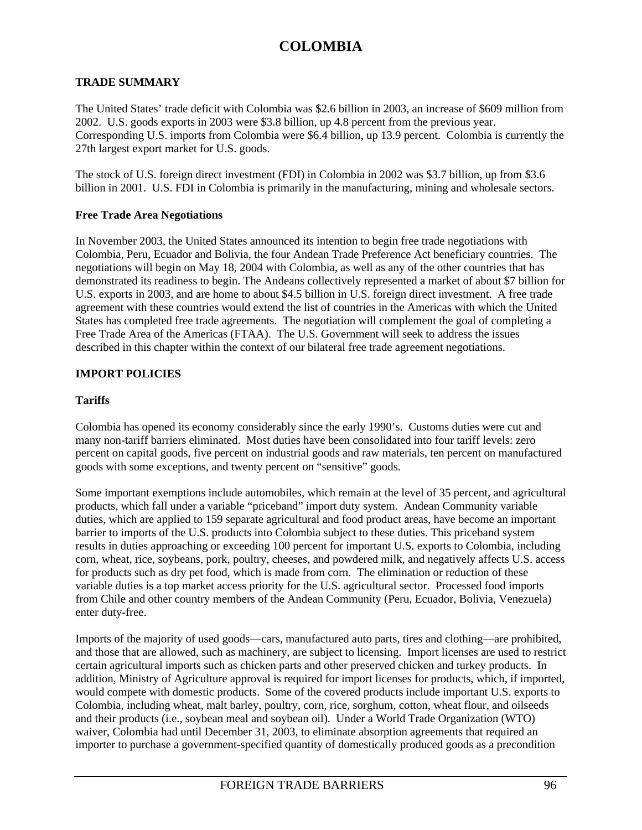## **TRADE SUMMARY**

The United States' trade deficit with Colombia was \$2.6 billion in 2003, an increase of \$609 million from 2002. U.S. goods exports in 2003 were \$3.8 billion, up 4.8 percent from the previous year. Corresponding U.S. imports from Colombia were \$6.4 billion, up 13.9 percent. Colombia is currently the 27th largest export market for U.S. goods.

The stock of U.S. foreign direct investment (FDI) in Colombia in 2002 was \$3.7 billion, up from \$3.6 billion in 2001. U.S. FDI in Colombia is primarily in the manufacturing, mining and wholesale sectors.

#### **Free Trade Area Negotiations**

In November 2003, the United States announced its intention to begin free trade negotiations with Colombia, Peru, Ecuador and Bolivia, the four Andean Trade Preference Act beneficiary countries. The negotiations will begin on May 18, 2004 with Colombia, as well as any of the other countries that has demonstrated its readiness to begin. The Andeans collectively represented a market of about \$7 billion for U.S. exports in 2003, and are home to about \$4.5 billion in U.S. foreign direct investment. A free trade agreement with these countries would extend the list of countries in the Americas with which the United States has completed free trade agreements. The negotiation will complement the goal of completing a Free Trade Area of the Americas (FTAA). The U.S. Government will seek to address the issues described in this chapter within the context of our bilateral free trade agreement negotiations.

## **IMPORT POLICIES**

## **Tariffs**

Colombia has opened its economy considerably since the early 1990's. Customs duties were cut and many non-tariff barriers eliminated. Most duties have been consolidated into four tariff levels: zero percent on capital goods, five percent on industrial goods and raw materials, ten percent on manufactured goods with some exceptions, and twenty percent on "sensitive" goods.

Some important exemptions include automobiles, which remain at the level of 35 percent, and agricultural products, which fall under a variable "priceband" import duty system. Andean Community variable duties, which are applied to 159 separate agricultural and food product areas, have become an important barrier to imports of the U.S. products into Colombia subject to these duties. This priceband system results in duties approaching or exceeding 100 percent for important U.S. exports to Colombia, including corn, wheat, rice, soybeans, pork, poultry, cheeses, and powdered milk, and negatively affects U.S. access for products such as dry pet food, which is made from corn. The elimination or reduction of these variable duties is a top market access priority for the U.S. agricultural sector. Processed food imports from Chile and other country members of the Andean Community (Peru, Ecuador, Bolivia, Venezuela) enter duty-free.

Imports of the majority of used goods—cars, manufactured auto parts, tires and clothing—are prohibited, and those that are allowed, such as machinery, are subject to licensing. Import licenses are used to restrict certain agricultural imports such as chicken parts and other preserved chicken and turkey products. In addition, Ministry of Agriculture approval is required for import licenses for products, which, if imported, would compete with domestic products. Some of the covered products include important U.S. exports to Colombia, including wheat, malt barley, poultry, corn, rice, sorghum, cotton, wheat flour, and oilseeds and their products (i.e., soybean meal and soybean oil). Under a World Trade Organization (WTO) waiver, Colombia had until December 31, 2003, to eliminate absorption agreements that required an importer to purchase a government-specified quantity of domestically produced goods as a precondition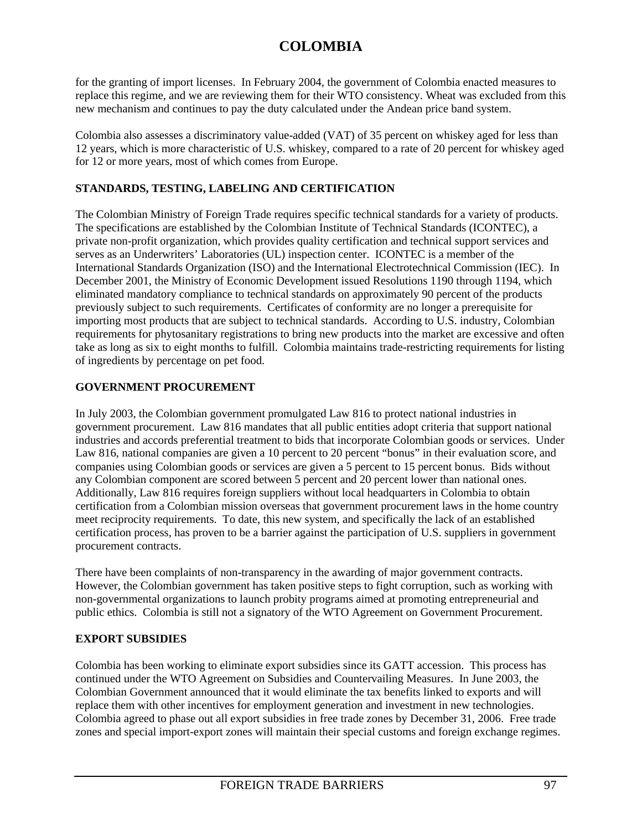for the granting of import licenses. In February 2004, the government of Colombia enacted measures to replace this regime, and we are reviewing them for their WTO consistency. Wheat was excluded from this new mechanism and continues to pay the duty calculated under the Andean price band system.

Colombia also assesses a discriminatory value-added (VAT) of 35 percent on whiskey aged for less than 12 years, which is more characteristic of U.S. whiskey, compared to a rate of 20 percent for whiskey aged for 12 or more years, most of which comes from Europe.

## **STANDARDS, TESTING, LABELING AND CERTIFICATION**

The Colombian Ministry of Foreign Trade requires specific technical standards for a variety of products. The specifications are established by the Colombian Institute of Technical Standards (ICONTEC), a private non-profit organization, which provides quality certification and technical support services and serves as an Underwriters' Laboratories (UL) inspection center. ICONTEC is a member of the International Standards Organization (ISO) and the International Electrotechnical Commission (IEC). In December 2001, the Ministry of Economic Development issued Resolutions 1190 through 1194, which eliminated mandatory compliance to technical standards on approximately 90 percent of the products previously subject to such requirements. Certificates of conformity are no longer a prerequisite for importing most products that are subject to technical standards. According to U.S. industry, Colombian requirements for phytosanitary registrations to bring new products into the market are excessive and often take as long as six to eight months to fulfill. Colombia maintains trade-restricting requirements for listing of ingredients by percentage on pet food.

## **GOVERNMENT PROCUREMENT**

In July 2003, the Colombian government promulgated Law 816 to protect national industries in government procurement. Law 816 mandates that all public entities adopt criteria that support national industries and accords preferential treatment to bids that incorporate Colombian goods or services. Under Law 816, national companies are given a 10 percent to 20 percent "bonus" in their evaluation score, and companies using Colombian goods or services are given a 5 percent to 15 percent bonus. Bids without any Colombian component are scored between 5 percent and 20 percent lower than national ones. Additionally, Law 816 requires foreign suppliers without local headquarters in Colombia to obtain certification from a Colombian mission overseas that government procurement laws in the home country meet reciprocity requirements. To date, this new system, and specifically the lack of an established certification process, has proven to be a barrier against the participation of U.S. suppliers in government procurement contracts.

There have been complaints of non-transparency in the awarding of major government contracts. However, the Colombian government has taken positive steps to fight corruption, such as working with non-governmental organizations to launch probity programs aimed at promoting entrepreneurial and public ethics. Colombia is still not a signatory of the WTO Agreement on Government Procurement.

## **EXPORT SUBSIDIES**

Colombia has been working to eliminate export subsidies since its GATT accession. This process has continued under the WTO Agreement on Subsidies and Countervailing Measures. In June 2003, the Colombian Government announced that it would eliminate the tax benefits linked to exports and will replace them with other incentives for employment generation and investment in new technologies. Colombia agreed to phase out all export subsidies in free trade zones by December 31, 2006. Free trade zones and special import-export zones will maintain their special customs and foreign exchange regimes.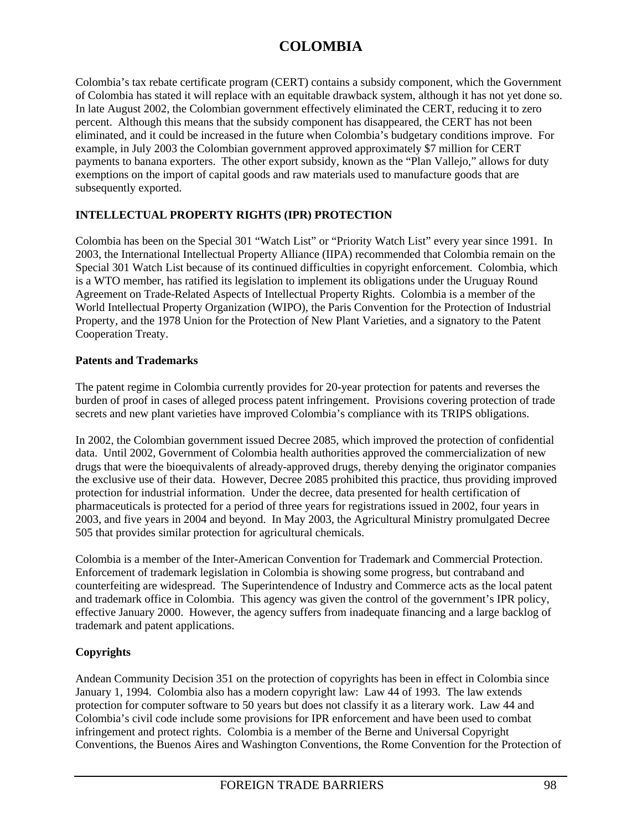Colombia's tax rebate certificate program (CERT) contains a subsidy component, which the Government of Colombia has stated it will replace with an equitable drawback system, although it has not yet done so. In late August 2002, the Colombian government effectively eliminated the CERT, reducing it to zero percent. Although this means that the subsidy component has disappeared, the CERT has not been eliminated, and it could be increased in the future when Colombia's budgetary conditions improve. For example, in July 2003 the Colombian government approved approximately \$7 million for CERT payments to banana exporters. The other export subsidy, known as the "Plan Vallejo," allows for duty exemptions on the import of capital goods and raw materials used to manufacture goods that are subsequently exported.

## **INTELLECTUAL PROPERTY RIGHTS (IPR) PROTECTION**

Colombia has been on the Special 301 "Watch List" or "Priority Watch List" every year since 1991. In 2003, the International Intellectual Property Alliance (IIPA) recommended that Colombia remain on the Special 301 Watch List because of its continued difficulties in copyright enforcement. Colombia, which is a WTO member, has ratified its legislation to implement its obligations under the Uruguay Round Agreement on Trade-Related Aspects of Intellectual Property Rights. Colombia is a member of the World Intellectual Property Organization (WIPO), the Paris Convention for the Protection of Industrial Property, and the 1978 Union for the Protection of New Plant Varieties, and a signatory to the Patent Cooperation Treaty.

## **Patents and Trademarks**

The patent regime in Colombia currently provides for 20-year protection for patents and reverses the burden of proof in cases of alleged process patent infringement. Provisions covering protection of trade secrets and new plant varieties have improved Colombia's compliance with its TRIPS obligations.

In 2002, the Colombian government issued Decree 2085, which improved the protection of confidential data. Until 2002, Government of Colombia health authorities approved the commercialization of new drugs that were the bioequivalents of already-approved drugs, thereby denying the originator companies the exclusive use of their data. However, Decree 2085 prohibited this practice, thus providing improved protection for industrial information. Under the decree, data presented for health certification of pharmaceuticals is protected for a period of three years for registrations issued in 2002, four years in 2003, and five years in 2004 and beyond. In May 2003, the Agricultural Ministry promulgated Decree 505 that provides similar protection for agricultural chemicals.

Colombia is a member of the Inter-American Convention for Trademark and Commercial Protection. Enforcement of trademark legislation in Colombia is showing some progress, but contraband and counterfeiting are widespread. The Superintendence of Industry and Commerce acts as the local patent and trademark office in Colombia. This agency was given the control of the government's IPR policy, effective January 2000. However, the agency suffers from inadequate financing and a large backlog of trademark and patent applications.

## **Copyrights**

Andean Community Decision 351 on the protection of copyrights has been in effect in Colombia since January 1, 1994. Colombia also has a modern copyright law: Law 44 of 1993. The law extends protection for computer software to 50 years but does not classify it as a literary work. Law 44 and Colombia's civil code include some provisions for IPR enforcement and have been used to combat infringement and protect rights. Colombia is a member of the Berne and Universal Copyright Conventions, the Buenos Aires and Washington Conventions, the Rome Convention for the Protection of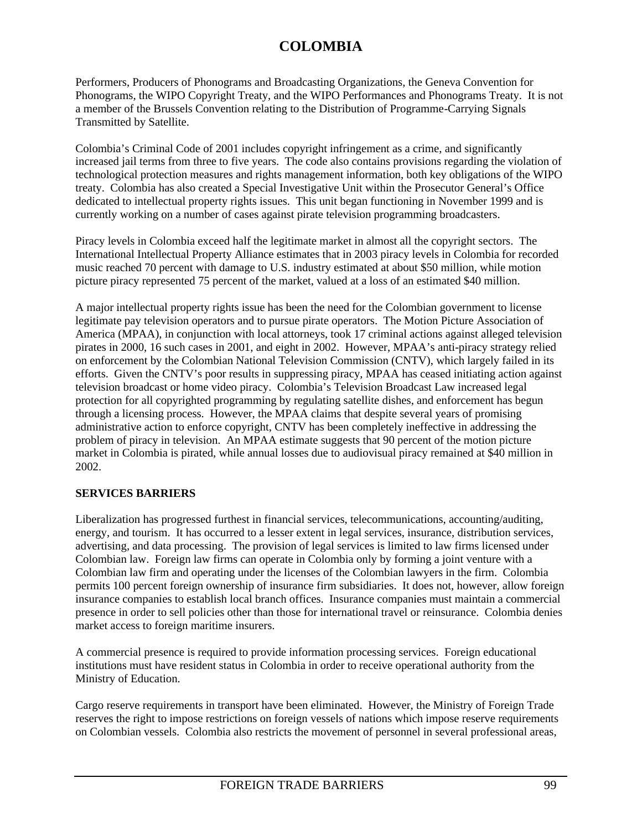Performers, Producers of Phonograms and Broadcasting Organizations, the Geneva Convention for Phonograms, the WIPO Copyright Treaty, and the WIPO Performances and Phonograms Treaty. It is not a member of the Brussels Convention relating to the Distribution of Programme-Carrying Signals Transmitted by Satellite.

Colombia's Criminal Code of 2001 includes copyright infringement as a crime, and significantly increased jail terms from three to five years. The code also contains provisions regarding the violation of technological protection measures and rights management information, both key obligations of the WIPO treaty. Colombia has also created a Special Investigative Unit within the Prosecutor General's Office dedicated to intellectual property rights issues. This unit began functioning in November 1999 and is currently working on a number of cases against pirate television programming broadcasters.

Piracy levels in Colombia exceed half the legitimate market in almost all the copyright sectors. The International Intellectual Property Alliance estimates that in 2003 piracy levels in Colombia for recorded music reached 70 percent with damage to U.S. industry estimated at about \$50 million, while motion picture piracy represented 75 percent of the market, valued at a loss of an estimated \$40 million.

A major intellectual property rights issue has been the need for the Colombian government to license legitimate pay television operators and to pursue pirate operators. The Motion Picture Association of America (MPAA), in conjunction with local attorneys, took 17 criminal actions against alleged television pirates in 2000, 16 such cases in 2001, and eight in 2002. However, MPAA's anti-piracy strategy relied on enforcement by the Colombian National Television Commission (CNTV), which largely failed in its efforts. Given the CNTV's poor results in suppressing piracy, MPAA has ceased initiating action against television broadcast or home video piracy. Colombia's Television Broadcast Law increased legal protection for all copyrighted programming by regulating satellite dishes, and enforcement has begun through a licensing process. However, the MPAA claims that despite several years of promising administrative action to enforce copyright, CNTV has been completely ineffective in addressing the problem of piracy in television. An MPAA estimate suggests that 90 percent of the motion picture market in Colombia is pirated, while annual losses due to audiovisual piracy remained at \$40 million in 2002.

## **SERVICES BARRIERS**

Liberalization has progressed furthest in financial services, telecommunications, accounting/auditing, energy, and tourism. It has occurred to a lesser extent in legal services, insurance, distribution services, advertising, and data processing. The provision of legal services is limited to law firms licensed under Colombian law. Foreign law firms can operate in Colombia only by forming a joint venture with a Colombian law firm and operating under the licenses of the Colombian lawyers in the firm. Colombia permits 100 percent foreign ownership of insurance firm subsidiaries. It does not, however, allow foreign insurance companies to establish local branch offices. Insurance companies must maintain a commercial presence in order to sell policies other than those for international travel or reinsurance. Colombia denies market access to foreign maritime insurers.

A commercial presence is required to provide information processing services. Foreign educational institutions must have resident status in Colombia in order to receive operational authority from the Ministry of Education.

Cargo reserve requirements in transport have been eliminated. However, the Ministry of Foreign Trade reserves the right to impose restrictions on foreign vessels of nations which impose reserve requirements on Colombian vessels. Colombia also restricts the movement of personnel in several professional areas,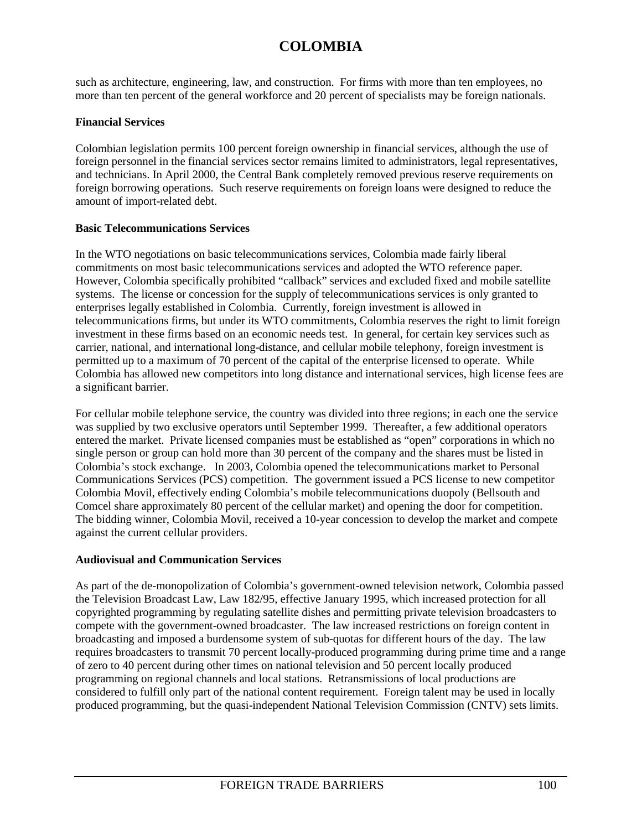such as architecture, engineering, law, and construction. For firms with more than ten employees, no more than ten percent of the general workforce and 20 percent of specialists may be foreign nationals.

## **Financial Services**

Colombian legislation permits 100 percent foreign ownership in financial services, although the use of foreign personnel in the financial services sector remains limited to administrators, legal representatives, and technicians. In April 2000, the Central Bank completely removed previous reserve requirements on foreign borrowing operations. Such reserve requirements on foreign loans were designed to reduce the amount of import-related debt.

## **Basic Telecommunications Services**

In the WTO negotiations on basic telecommunications services, Colombia made fairly liberal commitments on most basic telecommunications services and adopted the WTO reference paper. However, Colombia specifically prohibited "callback" services and excluded fixed and mobile satellite systems. The license or concession for the supply of telecommunications services is only granted to enterprises legally established in Colombia. Currently, foreign investment is allowed in telecommunications firms, but under its WTO commitments, Colombia reserves the right to limit foreign investment in these firms based on an economic needs test. In general, for certain key services such as carrier, national, and international long-distance, and cellular mobile telephony, foreign investment is permitted up to a maximum of 70 percent of the capital of the enterprise licensed to operate. While Colombia has allowed new competitors into long distance and international services, high license fees are a significant barrier.

For cellular mobile telephone service, the country was divided into three regions; in each one the service was supplied by two exclusive operators until September 1999. Thereafter, a few additional operators entered the market. Private licensed companies must be established as "open" corporations in which no single person or group can hold more than 30 percent of the company and the shares must be listed in Colombia's stock exchange. In 2003, Colombia opened the telecommunications market to Personal Communications Services (PCS) competition. The government issued a PCS license to new competitor Colombia Movil, effectively ending Colombia's mobile telecommunications duopoly (Bellsouth and Comcel share approximately 80 percent of the cellular market) and opening the door for competition. The bidding winner, Colombia Movil, received a 10-year concession to develop the market and compete against the current cellular providers.

## **Audiovisual and Communication Services**

As part of the de-monopolization of Colombia's government-owned television network, Colombia passed the Television Broadcast Law, Law 182/95, effective January 1995, which increased protection for all copyrighted programming by regulating satellite dishes and permitting private television broadcasters to compete with the government-owned broadcaster. The law increased restrictions on foreign content in broadcasting and imposed a burdensome system of sub-quotas for different hours of the day. The law requires broadcasters to transmit 70 percent locally-produced programming during prime time and a range of zero to 40 percent during other times on national television and 50 percent locally produced programming on regional channels and local stations. Retransmissions of local productions are considered to fulfill only part of the national content requirement. Foreign talent may be used in locally produced programming, but the quasi-independent National Television Commission (CNTV) sets limits.